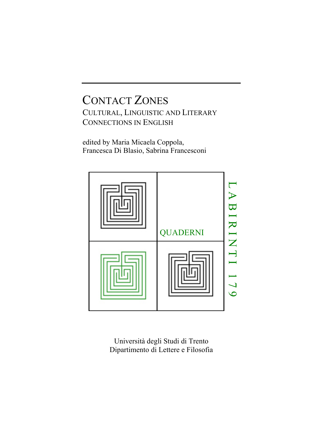# CONTACT ZONES CULTURAL, LINGUISTIC AND LITERARY CONNECTIONS IN ENGLISH

edited by Maria Micaela Coppola, Francesca Di Blasio, Sabrina Francesconi



Università degli Studi di Trento Dipartimento di Lettere e Filosofia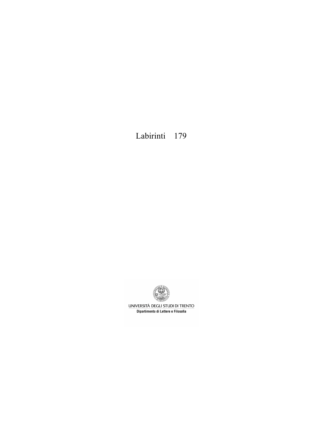Labirinti 179



UNIVERSITÀ DEGLI STUDI DI TRENTO Dipartimento di Lettere e Filosofia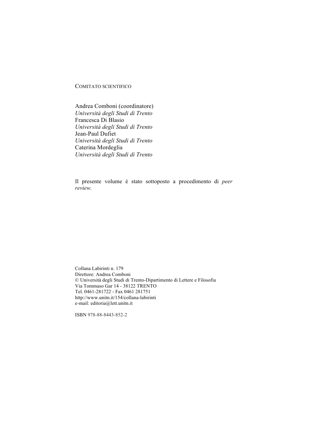### COMITATO SCIENTIFICO

Andrea Comboni (coordinatore) *Università degli Studi di Trento* Francesca Di Blasio *Università degli Studi di Trento* Jean-Paul Dufiet *Università degli Studi di Trento* Caterina Mordeglia *Università degli Studi di Trento*

Il presente volume è stato sottoposto a procedimento di *peer review.*

Collana Labirinti n. 179 Direttore: Andrea Comboni © Università degli Studi di Trento-Dipartimento di Lettere e Filosofia Via Tommaso Gar 14 - 38122 TRENTO Tel. 0461-281722 - Fax 0461 281751 http://www.unitn.it/154/collana-labirinti e-mail: editoria@lett.unitn.it

ISBN 978-88-8443-852-2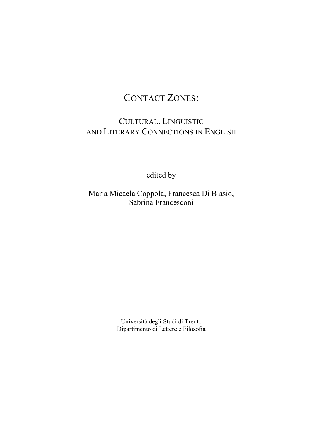# CONTACT ZONES:

# CULTURAL, LINGUISTIC AND LITERARY CONNECTIONS IN ENGLISH

edited by

Maria Micaela Coppola, Francesca Di Blasio, Sabrina Francesconi

> Università degli Studi di Trento Dipartimento di Lettere e Filosofia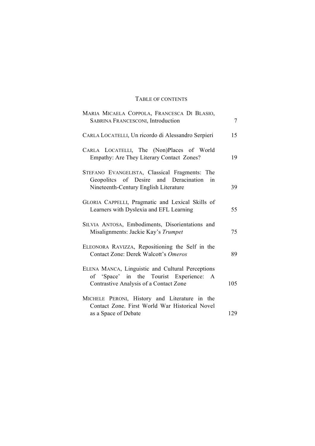## TABLE OF CONTENTS

| MARIA MICAELA COPPOLA, FRANCESCA DI BLASIO,<br>SABRINA FRANCESCONI, Introduction                                                      | $\tau$ |
|---------------------------------------------------------------------------------------------------------------------------------------|--------|
| CARLA LOCATELLI, Un ricordo di Alessandro Serpieri                                                                                    | 15     |
| CARLA LOCATELLI, The (Non)Places of World<br>Empathy: Are They Literary Contact Zones?                                                | 19     |
| STEFANO EVANGELISTA, Classical Fragments: The<br>Geopolites of Desire and Deracination<br>in<br>Nineteenth-Century English Literature | 39     |
| GLORIA CAPPELLI, Pragmatic and Lexical Skills of<br>Learners with Dyslexia and EFL Learning                                           | 55     |
| SILVIA ANTOSA, Embodiments, Disorientations and<br>Misalignments: Jackie Kay's Trumpet                                                | 75     |
| ELEONORA RAVIZZA, Repositioning the Self in the<br>Contact Zone: Derek Walcott's Omeros                                               | 89     |
| ELENA MANCA, Linguistic and Cultural Perceptions<br>of 'Space' in the Tourist Experience: A<br>Contrastive Analysis of a Contact Zone | 105    |
| MICHELE PERONI, History and Literature in the<br>Contact Zone. First World War Historical Novel<br>as a Space of Debate               | 129    |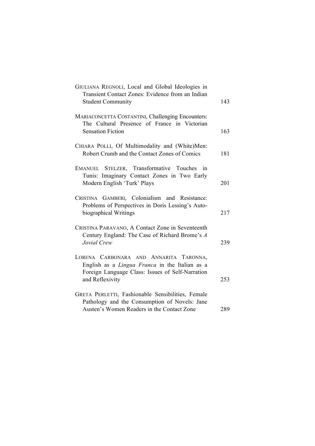| GIULIANA REGNOLI, Local and Global Ideologies in<br>Transient Contact Zones: Evidence from an Indian<br><b>Student Community</b>                                       | 143 |
|------------------------------------------------------------------------------------------------------------------------------------------------------------------------|-----|
| MARIACONCETTA COSTANTINI, Challenging Encounters:<br>The Cultural Presence of France in Victorian<br><b>Sensation Fiction</b>                                          | 163 |
| CHIARA POLLI, Of Multimodality and (White)Men:<br>Robert Crumb and the Contact Zones of Comics                                                                         | 181 |
| EMANUEL STELZER, Transformative Touches in<br>Tunis: Imaginary Contact Zones in Two Early<br>Modern English 'Turk' Plays                                               | 201 |
| CRISTINA GAMBERI, Colonialism and Resistance:<br>Problems of Perspectives in Doris Lessing's Auto-<br>biographical Writings                                            | 217 |
| CRISTINA PARAVANO, A Contact Zone in Seventeenth<br>Century England: The Case of Richard Brome's A<br>Jovial Crew                                                      | 239 |
| LORENA CARBONARA AND ANNARITA TARONNA,<br>English as a <i>Lingua Franca</i> in the Italian as a<br>Foreign Language Class: Issues of Self-Narration<br>and Reflexivity | 253 |
| GRETA PERLETTI, Fashionable Sensibilities, Female<br>Pathology and the Consumption of Novels: Jane<br>Austen's Women Readers in the Contact Zone                       | 289 |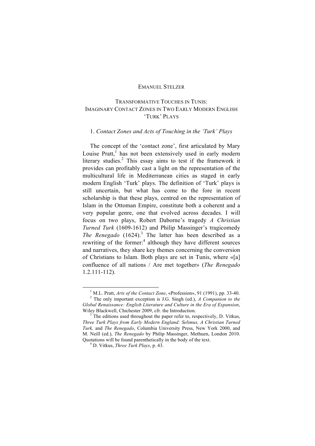#### EMANUEL STELZER

### TRANSFORMATIVE TOUCHES IN TUNIS: IMAGINARY CONTACT ZONES IN TWO EARLY MODERN ENGLISH 'TURK' PLAYS

### 1. *Contact Zones and Acts of Touching in the 'Turk' Plays*

The concept of the 'contact zone', first articulated by Mary Louise Pratt,<sup>1</sup> has not been extensively used in early modern literary studies.<sup>2</sup> This essay aims to test if the framework it provides can profitably cast a light on the representation of the multicultural life in Mediterranean cities as staged in early modern English 'Turk' plays. The definition of 'Turk' plays is still uncertain, but what has come to the fore in recent scholarship is that these plays, centred on the representation of Islam in the Ottoman Empire, constitute both a coherent and a very popular genre, one that evolved across decades. I will focus on two plays, Robert Daborne's tragedy *A Christian Turned Turk* (1609-1612) and Philip Massinger's tragicomedy *The Renegado* (1624). <sup>3</sup> The latter has been described as a rewriting of the former:<sup>4</sup> although they have different sources and narratives, they share key themes concerning the conversion of Christians to Islam. Both plays are set in Tunis, where «[a] confluence of all nations / Are met together» (*The Renegado* 1.2.111-112).

<sup>&</sup>lt;sup>1</sup> M.L. Pratt, *Arts of the Contact Zone*, «Profession», 91 (1991), pp. 33-40.<br><sup>2</sup> The only important exception is J.G. Singh (ed.), *A Companion to the Global Renaissance: English Literature and Culture in the Era of Expansion*,

Wiley Blackwell, Chichester 2009, cfr. the Introduction.<br><sup>3</sup> The editions used throughout the paper refer to, respectively, D. Vitkus, *Three Turk Plays from Early Modern England: Selimus, A Christian Turned Turk,* and *The Renegado*, Columbia University Press, New York 2000, and M. Neill (ed.), *The Renegado* by Philip Massinger, Methuen, London 2010. Quotations will be found parenthetically in the body of the text. 4 D. Vitkus, *Three Turk Plays*, p. 43.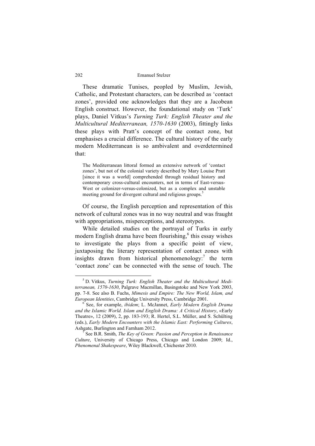These dramatic Tunises, peopled by Muslim, Jewish, Catholic, and Protestant characters, can be described as 'contact zones', provided one acknowledges that they are a Jacobean English construct. However, the foundational study on 'Turk' plays, Daniel Vitkus's *Turning Turk: English Theater and the Multicultural Mediterranean, 1570-1630* (2003), fittingly links these plays with Pratt's concept of the contact zone, but emphasises a crucial difference. The cultural history of the early modern Mediterranean is so ambivalent and overdetermined that:

The Mediterranean littoral formed an extensive network of 'contact zones', but not of the colonial variety described by Mary Louise Pratt [since it was a world] comprehended through residual history and contemporary cross-cultural encounters, not in terms of East-versus-West or colonizer-versus-colonized, but as a complex and unstable meeting ground for divergent cultural and religious groups.<sup>5</sup>

Of course, the English perception and representation of this network of cultural zones was in no way neutral and was fraught with appropriations, misperceptions, and stereotypes.

While detailed studies on the portrayal of Turks in early modern English drama have been flourishing, <sup>6</sup> this essay wishes to investigate the plays from a specific point of view, juxtaposing the literary representation of contact zones with insights drawn from historical phenomenology:<sup>7</sup> the term 'contact zone' can be connected with the sense of touch. The

 <sup>5</sup> D. Vitkus, *Turning Turk: English Theater and the Multicultural Mediterranean, 1570-1630*, Palgrave Macmillan, Basingstoke and New York 2003, pp. 7-8. See also B. Fuchs, *Mimesis and Empire: The New World, Islam, and European Identities*, Cambridge University Press, Cambridge 2001. <sup>6</sup> See, for example, *ibidem*; L. McJannet, *Early Modern English Drama* 

*and the Islamic World. Islam and English Drama: A Critical History*, «Early Theatre», 12 (2009), 2, pp. 183-193; R. Hertel, S.L. Müller, and S. Schülting (eds.), *Early Modern Encounters with the Islamic East: Performing Cultures*, Ashgate, Burlington and Farnham 2012. 7 See B.R. Smith, *The Key of Green: Passion and Perception in Renaissance* 

*Culture*, University of Chicago Press, Chicago and London 2009; Id., *Phenomenal Shakespeare*, Wiley Blackwell, Chichester 2010.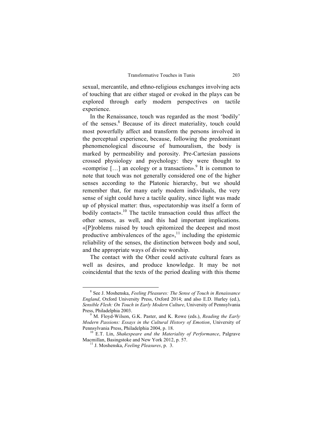sexual, mercantile, and ethno-religious exchanges involving acts of touching that are either staged or evoked in the plays can be explored through early modern perspectives on tactile experience.

In the Renaissance, touch was regarded as the most 'bodily' of the senses. <sup>8</sup> Because of its direct materiality, touch could most powerfully affect and transform the persons involved in the perceptual experience, because, following the predominant phenomenological discourse of humouralism, the body is marked by permeability and porosity. Pre-Cartesian passions crossed physiology and psychology: they were thought to «comprise  $[\dots]$  an ecology or a transaction».<sup>9</sup> It is common to note that touch was not generally considered one of the higher senses according to the Platonic hierarchy, but we should remember that, for many early modern individuals, the very sense of sight could have a tactile quality, since light was made up of physical matter: thus, «spectatorship was itself a form of bodily contact». <sup>10</sup> The tactile transaction could thus affect the other senses, as well, and this had important implications. «[P]roblems raised by touch epitomized the deepest and most productive ambivalences of the ages,  $11$  including the epistemic reliability of the senses, the distinction between body and soul, and the appropriate ways of divine worship.

The contact with the Other could activate cultural fears as well as desires, and produce knowledge. It may be not coincidental that the texts of the period dealing with this theme

 <sup>8</sup> See J. Moshenska, *Feeling Pleasures: The Sense of Touch in Renaissance England*, Oxford University Press, Oxford 2014; and also E.D. Hurley (ed.), *Sensible Flesh: On Touch in Early Modern Culture*, University of Pennsylvania Press, Philadelphia 2003.<br><sup>9</sup> M. Floyd-Wilson, G.K. Paster, and K. Rowe (eds.), *Reading the Early* 

*Modern Passions: Essays in the Cultural History of Emotion*, University of Pennsylvania Press, Philadelphia 2004, p. 18.<br><sup>10</sup> E.T. Lin, *Shakespeare and the Materiality of Performance*, Palgrave

Macmillan, Basingstoke and New York 2012, p. 57. <sup>11</sup> J. Moshenska, *Feeling Pleasures*, p. 3.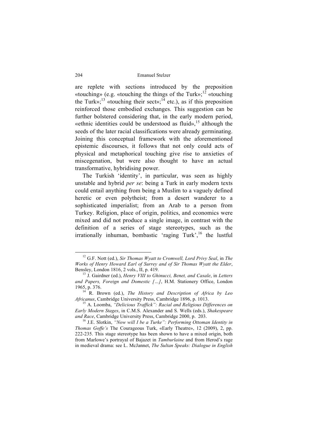are replete with sections introduced by the preposition «touching» (e.g. «touching the things of the Turk»;<sup>12</sup> «touching the Turk»;<sup>13</sup> «touching their sect»;<sup>14</sup> etc.), as if this preposition reinforced those embodied exchanges. This suggestion can be further bolstered considering that, in the early modern period, «ethnic identities could be understood as fluid», <sup>15</sup> although the seeds of the later racial classifications were already germinating. Joining this conceptual framework with the aforementioned epistemic discourses, it follows that not only could acts of physical and metaphorical touching give rise to anxieties of miscegenation, but were also thought to have an actual transformative, hybridising power.

The Turkish 'identity', in particular, was seen as highly unstable and hybrid *per se*: being a Turk in early modern texts could entail anything from being a Muslim to a vaguely defined heretic or even polytheist; from a desert wanderer to a sophisticated imperialist; from an Arab to a person from Turkey. Religion, place of origin, politics, and economics were mixed and did not produce a single image, in contrast with the definition of a series of stage stereotypes, such as the irrationally inhuman, bombastic 'raging Turk',<sup>16</sup> the lustful

 <sup>12</sup> G.F. Nott (ed.), *Sir Thomas Wyatt to Cromwell, Lord Privy Seal*, in *The Works of Henry Howard Earl of Surrey and of Sir Thomas Wyatt the Elder*,

<sup>&</sup>lt;sup>13</sup> J. Gairdner (ed.), *Henry VIII to Ghinucci, Benet, and Casale*, in *Letters and Papers, Foreign and Domestic […]*, H.M. Stationery Office, London 1965, p. 376.

<sup>&</sup>lt;sup>1</sup>R. Brown (ed.), *The History and Description of Africa by Leo Africanus*, Cambridge University Press, Cambridge 1896, p. 1013. <sup>15</sup> A. Loomba, *"Delicious Traffick": Racial and Religious Differences on* 

*Early Modern Stages*, in C.M.S. Alexander and S. Wells (eds.), *Shakespeare and Race*, Cambridge University Press, Cambridge 2000, p. 203.<br><sup>16</sup> J.E. Slotkin, *"Now will I be a Turke": Performing Ottoman Identity in* 

*Thomas Goffe's* The Courageous Turk, «Early Theatre», 12 (2009), 2, pp. 222-235. This stage stereotype has been shown to have a mixed origin, both from Marlowe's portrayal of Bajazet in *Tamburlaine* and from Herod's rage in medieval drama: see L. McJannet, *The Sultan Speaks: Dialogue in English*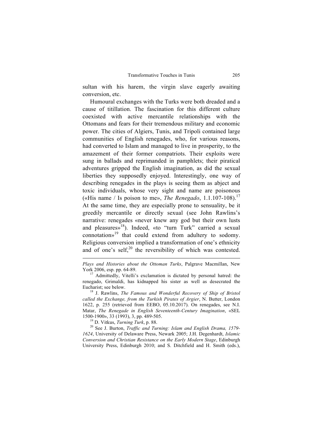sultan with his harem, the virgin slave eagerly awaiting conversion, etc.

Humoural exchanges with the Turks were both dreaded and a cause of titillation. The fascination for this different culture coexisted with active mercantile relationships with the Ottomans and fears for their tremendous military and economic power. The cities of Algiers, Tunis, and Tripoli contained large communities of English renegades, who, for various reasons, had converted to Islam and managed to live in prosperity, to the amazement of their former compatriots. Their exploits were sung in ballads and reprimanded in pamphlets; their piratical adventures gripped the English imagination, as did the sexual liberties they supposedly enjoyed. Interestingly, one way of describing renegades in the plays is seeing them as abject and toxic individuals, whose very sight and name are poisonous («His name / Is poison to me», *The Renegado*, 1.1.107-108). 17 At the same time, they are especially prone to sensuality, be it greedily mercantile or directly sexual (see John Rawlins's narrative: renegades «never knew any god but their own lusts and pleasures»<sup>18</sup>). Indeed, «to "turn Turk" carried a sexual connotation»<sup>19</sup> that could extend from adultery to sodomy. Religious conversion implied a transformation of one's ethnicity and of one's self, $20$  the reversibility of which was contested.

 $\overline{a}$ 

*1624*, University of Delaware Press, Newark 2005; J.H. Degenhardt, *Islamic Conversion and Christian Resistance on the Early Modern Stage*, Edinburgh University Press, Edinburgh 2010; and S. Ditchfield and H. Smith (eds.),

*Plays and Histories about the Ottoman Turks*, Palgrave Macmillan, New York 2006, esp. pp. 64-89.<br><sup>17</sup> Admittedly, Vitelli's exclamation is dictated by personal hatred: the

renegado, Grimaldi, has kidnapped his sister as well as desecrated the

<sup>&</sup>lt;sup>18</sup> J. Rawlins, *The Famous and Wonderful Recovery of Ship of Bristol called the Exchange, from the Turkish Pirates of Argier*, N. Butter, London 1622, p. 255 (retrieved from EEBO, 05.10.2017). On renegades, see N.I. Matar, *The Renegade in English Seventeenth-Century Imagination*, «SEL 1500-1900», 33 (1993), 3, pp. 489-505. <sup>19</sup> D. Vitkus, *Turning Turk*, p. 88. <sup>20</sup> See J. Burton, *Traffic and Turning: Islam and English Drama, 1579-*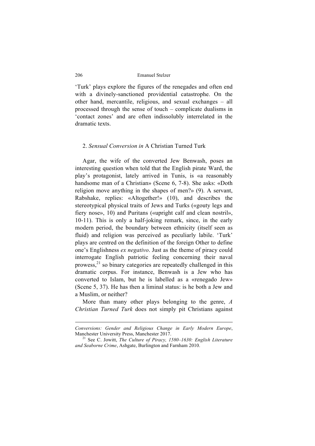'Turk' plays explore the figures of the renegades and often end with a divinely-sanctioned providential catastrophe. On the other hand, mercantile, religious, and sexual exchanges – all processed through the sense of touch – complicate dualisms in 'contact zones' and are often indissolubly interrelated in the dramatic texts.

#### 2. *Sensual Conversion in* A Christian Turned Turk

Agar, the wife of the converted Jew Benwash, poses an interesting question when told that the English pirate Ward, the play's protagonist, lately arrived in Tunis, is «a reasonably handsome man of a Christian» (Scene 6, 7-8). She asks: «Doth religion move anything in the shapes of men?» (9). A servant, Rabshake, replies: «Altogether!» (10), and describes the stereotypical physical traits of Jews and Turks («gouty legs and fiery nose», 10) and Puritans («upright calf and clean nostril», 10-11). This is only a half-joking remark, since, in the early modern period, the boundary between ethnicity (itself seen as fluid) and religion was perceived as peculiarly labile. 'Turk' plays are centred on the definition of the foreign Other to define one's Englishness *ex negativo*. Just as the theme of piracy could interrogate English patriotic feeling concerning their naval prowess,<sup>21</sup> so binary categories are repeatedly challenged in this dramatic corpus. For instance, Benwash is a Jew who has converted to Islam, but he is labelled as a «renegado Jew» (Scene 5, 37). He has then a liminal status: is he both a Jew and a Muslim, or neither?

More than many other plays belonging to the genre, *A Christian Turned Turk* does not simply pit Christians against

 $\overline{a}$ 

*Conversions: Gender and Religious Change in Early Modern Europe*,

<sup>&</sup>lt;sup>21</sup> See C. Jowitt, *The Culture of Piracy, 1580–1630: English Literature and Seaborne Crime*, Ashgate, Burlington and Farnham 2010.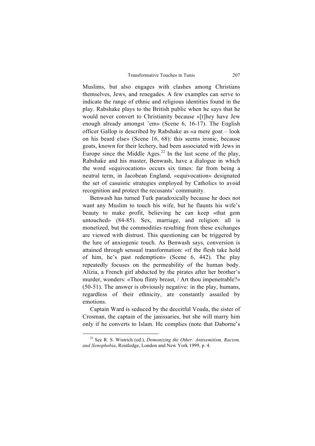Muslims, but also engages with clashes among Christians themselves, Jews, and renegades. A few examples can serve to indicate the range of ethnic and religious identities found in the play. Rabshake plays to the British public when he says that he would never convert to Christianity because «[t]hey have Jew enough already amongst 'em» (Scene 6, 16-17). The English officer Gallop is described by Rabshake as «a mere goat – look on his beard else» (Scene 16, 68): this seems ironic, because goats, known for their lechery, had been associated with Jews in Europe since the Middle Ages.<sup>22</sup> In the last scene of the play, Rabshake and his master, Benwash, have a dialogue in which the word «equivocation» occurs six times: far from being a neutral term, in Jacobean England, «equivocation» designated the set of casuistic strategies employed by Catholics to avoid recognition and protect the recusants' community.

Benwash has turned Turk paradoxically because he does not want any Muslim to touch his wife, but he flaunts his wife's beauty to make profit, believing he can keep «that gem untouched» (84-85). Sex, marriage, and religion: all is monetized, but the commodities resulting from these exchanges are viewed with distrust. This questioning can be triggered by the lure of anxiogenic touch. As Benwash says, conversion is attained through sensual transformation: «if the flesh take hold of him, he's past redemption» (Scene 6, 442). The play repeatedly focuses on the permeability of the human body. Alizia, a French girl abducted by the pirates after her brother's murder, wonders: «Thou flinty breast, / Art thou impenetrable?» (50-51). The answer is obviously negative: in the play, humans, regardless of their ethnicity, are constantly assailed by emotions.

Captain Ward is seduced by the deceitful Voada, the sister of Crosman, the captain of the janissaries, but she will marry him only if he converts to Islam. He complies (note that Daborne's

 <sup>22</sup> See R. S. Wistrich (ed.), *Demonizing the Other: Antisemitism, Racism, and Xenophobia*, Routledge, London and New York 1999, p. 4.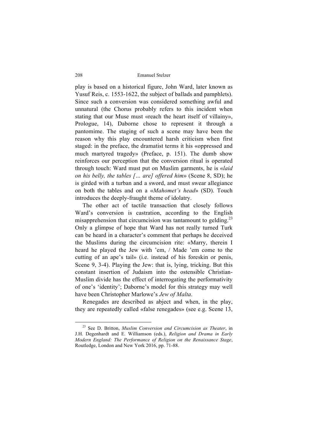play is based on a historical figure, John Ward, later known as Yusuf Reis, c. 1553-1622, the subject of ballads and pamphlets). Since such a conversion was considered something awful and unnatural (the Chorus probably refers to this incident when stating that our Muse must «reach the heart itself of villainy», Prologue, 14), Daborne chose to represent it through a pantomime. The staging of such a scene may have been the reason why this play encountered harsh criticism when first staged: in the preface, the dramatist terms it his «oppressed and much martyred tragedy» (Preface, p. 151). The dumb show reinforces our perception that the conversion ritual is operated through touch: Ward must put on Muslim garments, he is «*laid on his belly, the tables [… are] offered him*» (Scene 8, SD); he is girded with a turban and a sword, and must swear allegiance on both the tables and on a «*Mahomet's head*» (SD). Touch introduces the deeply-fraught theme of idolatry.

The other act of tactile transaction that closely follows Ward's conversion is castration, according to the English misapprehension that circumcision was tantamount to gelding.<sup>23</sup> Only a glimpse of hope that Ward has not really turned Turk can be heard in a character's comment that perhaps he deceived the Muslims during the circumcision rite: «Marry, therein I heard he played the Jew with 'em, / Made 'em come to the cutting of an ape's tail» (i.e. instead of his foreskin or penis, Scene 9, 3-4). Playing the Jew: that is, lying, tricking. But this constant insertion of Judaism into the ostensible Christian-Muslim divide has the effect of interrogating the performativity of one's 'identity'; Daborne's model for this strategy may well have been Christopher Marlowe's *Jew of Malta*.

Renegades are described as abject and when, in the play, they are repeatedly called «false renegades» (see e.g. Scene 13,

 <sup>23</sup> See D. Britton, *Muslim Conversion and Circumcision as Theater*, in J.H. Degenhardt and E. Williamson (eds.), *Religion and Drama in Early Modern England: The Performance of Religion on the Renaissance Stage*, Routledge, London and New York 2016, pp. 71-88.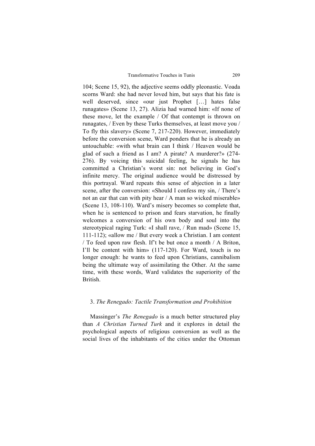104; Scene 15, 92), the adjective seems oddly pleonastic. Voada scorns Ward: she had never loved him, but says that his fate is well deserved, since «our just Prophet […] hates false runagates» (Scene 13, 27). Alizia had warned him: «If none of these move, let the example / Of that contempt is thrown on runagates, / Even by these Turks themselves, at least move you / To fly this slavery» (Scene 7, 217-220). However, immediately before the conversion scene, Ward ponders that he is already an untouchable: «with what brain can I think / Heaven would be glad of such a friend as I am? A pirate? A murderer?» (274- 276). By voicing this suicidal feeling, he signals he has committed a Christian's worst sin: not believing in God's infinite mercy. The original audience would be distressed by this portrayal. Ward repeats this sense of abjection in a later scene, after the conversion: «Should I confess my sin, / There's not an ear that can with pity hear / A man so wicked miserable» (Scene 13, 108-110). Ward's misery becomes so complete that, when he is sentenced to prison and fears starvation, he finally welcomes a conversion of his own body and soul into the stereotypical raging Turk: «I shall rave, / Run mad» (Scene 15, 111-112); «allow me / But every week a Christian. I am content / To feed upon raw flesh. If't be but once a month / A Briton, I'll be content with him» (117-120). For Ward, touch is no longer enough: he wants to feed upon Christians, cannibalism being the ultimate way of assimilating the Other. At the same time, with these words, Ward validates the superiority of the British.

#### 3. *The Renegado: Tactile Transformation and Prohibition*

Massinger's *The Renegado* is a much better structured play than *A Christian Turned Turk* and it explores in detail the psychological aspects of religious conversion as well as the social lives of the inhabitants of the cities under the Ottoman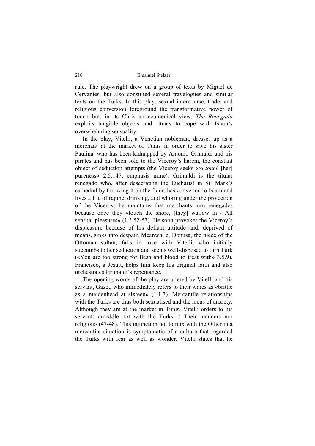rule. The playwright drew on a group of texts by Miguel de Cervantes, but also consulted several travelogues and similar texts on the Turks. In this play, sexual intercourse, trade, and religious conversion foreground the transformative power of touch but, in its Christian ecumenical view, *The Renegado* exploits tangible objects and rituals to cope with Islam's overwhelming sensuality.

In the play, Vitelli, a Venetian nobleman, dresses up as a merchant at the market of Tunis in order to save his sister Paulina, who has been kidnapped by Antonio Grimaldi and his pirates and has been sold to the Viceroy's harem, the constant object of seduction attempts (the Viceroy seeks «to *touch* [her] pureness» 2.5.147, emphasis mine). Grimaldi is the titular renegado who, after desecrating the Eucharist in St. Mark's cathedral by throwing it on the floor, has converted to Islam and lives a life of rapine, drinking, and whoring under the protection of the Viceroy: he maintains that merchants turn renegades because once they «touch the shore, [they] wallow in / All sensual pleasures» (1.3.52-53). He soon provokes the Viceroy's displeasure because of his defiant attitude and, deprived of means, sinks into despair. Meanwhile, Donusa, the niece of the Ottoman sultan, falls in love with Vitelli, who initially succumbs to her seduction and seems well-disposed to turn Turk («You are too strong for flesh and blood to treat with» 3.5.9). Francisco, a Jesuit, helps him keep his original faith and also orchestrates Grimaldi's repentance.

The opening words of the play are uttered by Vitelli and his servant, Gazet, who immediately refers to their wares as «brittle as a maidenhead at sixteen» (1.1.3). Mercantile relationships with the Turks are thus both sexualised and the locus of anxiety. Although they are at the market in Tunis, Vitelli orders to his servant: «meddle not with the Turks, / Their manners nor religion» (47-48). This injunction not to mix with the Other in a mercantile situation is symptomatic of a culture that regarded the Turks with fear as well as wonder. Vitelli states that he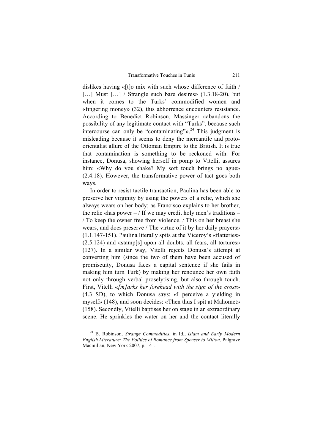dislikes having «[t]o mix with such whose difference of faith / [...] Must [...] / Strangle such bare desires» (1.3.18-20), but when it comes to the Turks' commodified women and «fingering money» (32), this abhorrence encounters resistance. According to Benedict Robinson, Massinger «abandons the possibility of any legitimate contact with "Turks", because such intercourse can only be "contaminating" $\frac{1}{2}$ . This judgment is misleading because it seems to deny the mercantile and protoorientalist allure of the Ottoman Empire to the British. It is true that contamination is something to be reckoned with. For instance, Donusa, showing herself in pomp to Vitelli, assures him: «Why do you shake? My soft touch brings no ague» (2.4.18). However, the transformative power of tact goes both ways.

In order to resist tactile transaction, Paulina has been able to preserve her virginity by using the powers of a relic, which she always wears on her body; as Francisco explains to her brother, the relic «has power  $-$  / If we may credit holy men's traditions  $-$ / To keep the owner free from violence. / This on her breast she wears, and does preserve / The virtue of it by her daily prayers» (1.1.147-151). Paulina literally spits at the Viceroy's «flatteries» (2.5.124) and «stamp[s] upon all doubts, all fears, all tortures» (127). In a similar way, Vitelli rejects Donusa's attempt at converting him (since the two of them have been accused of promiscuity, Donusa faces a capital sentence if she fails in making him turn Turk) by making her renounce her own faith not only through verbal proselytising, but also through touch. First, Vitelli «*[m]arks her forehead with the sign of the cross*» (4.3 SD), to which Donusa says: «I perceive a yielding in myself» (148), and soon decides: «Then thus I spit at Mahomet» (158). Secondly, Vitelli baptises her on stage in an extraordinary scene. He sprinkles the water on her and the contact literally

 <sup>24</sup> B. Robinson, *Strange Commodities*, in Id., *Islam and Early Modern English Literature: The Politics of Romance from Spenser to Milton*, Palgrave Macmillan, New York 2007, p. 141.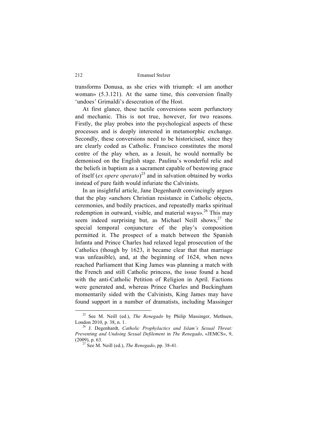transforms Donusa, as she cries with triumph: «I am another woman» (5.3.121). At the same time, this conversion finally 'undoes' Grimaldi's desecration of the Host.

At first glance, these tactile conversions seem perfunctory and mechanic. This is not true, however, for two reasons. Firstly, the play probes into the psychological aspects of these processes and is deeply interested in metamorphic exchange. Secondly, these conversions need to be historicised, since they are clearly coded as Catholic. Francisco constitutes the moral centre of the play when, as a Jesuit, he would normally be demonised on the English stage. Paulina's wonderful relic and the beliefs in baptism as a sacrament capable of bestowing grace of itself (*ex opere operato*) <sup>25</sup> and in salvation obtained by works instead of pure faith would infuriate the Calvinists.

In an insightful article, Jane Degenhardt convincingly argues that the play «anchors Christian resistance in Catholic objects, ceremonies, and bodily practices, and repeatedly marks spiritual redemption in outward, visible, and material ways».<sup>26</sup> This may seem indeed surprising but, as Michael Neill shows,  $27$  the special temporal conjuncture of the play's composition permitted it. The prospect of a match between the Spanish Infanta and Prince Charles had relaxed legal prosecution of the Catholics (though by 1623, it became clear that that marriage was unfeasible), and, at the beginning of 1624, when news reached Parliament that King James was planning a match with the French and still Catholic princess, the issue found a head with the anti-Catholic Petition of Religion in April. Factions were generated and, whereas Prince Charles and Buckingham momentarily sided with the Calvinists, King James may have found support in a number of dramatists, including Massinger

 <sup>25</sup> See M. Neill (ed.), *The Renegado* by Philip Massinger, Methuen, London 2010, p. 38, n. 1.<br><sup>26</sup> J. Degenhardt, *Catholic Prophylactics and Islam's Sexual Threat:* 

*Preventing and Undoing Sexual Defilement* in *The Renegado*, «JEMCS», 9, (2009), p. 63. <sup>27</sup> See M. Neill (ed.), *The Renegado*, pp. 38-41.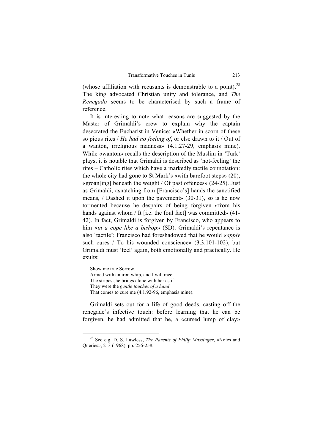(whose affiliation with recusants is demonstrable to a point).<sup>28</sup> The king advocated Christian unity and tolerance, and *The Renegado* seems to be characterised by such a frame of reference.

It is interesting to note what reasons are suggested by the Master of Grimaldi's crew to explain why the captain desecrated the Eucharist in Venice: «Whether in scorn of these so pious rites / *He had no feeling of*, or else drawn to it / Out of a wanton, irreligious madness» (4.1.27-29, emphasis mine). While «wanton» recalls the description of the Muslim in 'Turk' plays, it is notable that Grimaldi is described as 'not-feeling' the rites – Catholic rites which have a markedly tactile connotation: the whole city had gone to St Mark's «with barefoot steps» (20), «groan[ing] beneath the weight / Of past offences» (24-25). Just as Grimaldi, «snatching from [Francisco's] hands the sanctified means, / Dashed it upon the pavement» (30-31), so is he now tormented because he despairs of being forgiven «from his hands against whom / It [i.e. the foul fact] was committed» (41-42). In fact, Grimaldi is forgiven by Francisco, who appears to him «*in a cope like a bishop*» (SD). Grimaldi's repentance is also 'tactile'; Francisco had foreshadowed that he would «*apply* such cures / To his wounded conscience» (3.3.101-102), but Grimaldi must 'feel' again, both emotionally and practically. He exults:

Show me true Sorrow, Armed with an iron whip, and I will meet The stripes she brings alone with her as if They were the *gentle touches of a hand* That comes to cure me (4.1.92-96, emphasis mine).

Grimaldi sets out for a life of good deeds, casting off the renegade's infective touch: before learning that he can be forgiven, he had admitted that he, a «cursed lump of clay»

 <sup>28</sup> See e.g. D. S. Lawless, *The Parents of Philip Massinger*, «Notes and Queries», 213 (1968), pp. 256-258.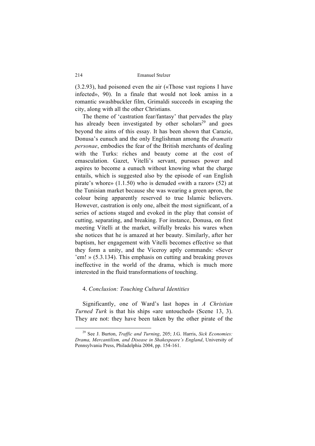(3.2.93), had poisoned even the air («Those vast regions I have infected», 90). In a finale that would not look amiss in a romantic swashbuckler film, Grimaldi succeeds in escaping the city, along with all the other Christians.

The theme of 'castration fear/fantasy' that pervades the play has already been investigated by other scholars<sup>29</sup> and goes beyond the aims of this essay. It has been shown that Carazie, Donusa's eunuch and the only Englishman among the *dramatis personae*, embodies the fear of the British merchants of dealing with the Turks: riches and beauty come at the cost of emasculation. Gazet, Vitelli's servant, pursues power and aspires to become a eunuch without knowing what the charge entails, which is suggested also by the episode of «an English pirate's whore» (1.1.50) who is denuded «with a razor» (52) at the Tunisian market because she was wearing a green apron, the colour being apparently reserved to true Islamic believers. However, castration is only one, albeit the most significant, of a series of actions staged and evoked in the play that consist of cutting, separating, and breaking. For instance, Donusa, on first meeting Vitelli at the market, wilfully breaks his wares when she notices that he is amazed at her beauty. Similarly, after her baptism, her engagement with Vitelli becomes effective so that they form a unity, and the Viceroy aptly commands: «Sever 'em! » (5.3.134). This emphasis on cutting and breaking proves ineffective in the world of the drama, which is much more interested in the fluid transformations of touching.

#### 4. *Conclusion: Touching Cultural Identities*

Significantly, one of Ward's last hopes in *A Christian Turned Turk* is that his ships «are untouched» (Scene 13, 3). They are not: they have been taken by the other pirate of the

 <sup>29</sup> See J. Burton, *Traffic and Turning*, 205; J.G. Harris, *Sick Economies: Drama, Mercantilism, and Disease in Shakespeare's England*, University of Pennsylvania Press, Philadelphia 2004, pp. 154-161.